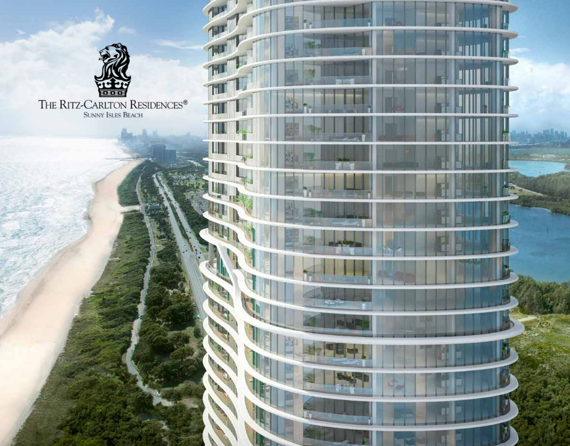

THE RITZ-CARLTON RESIDENCES® SUNNY ISLES BEACH

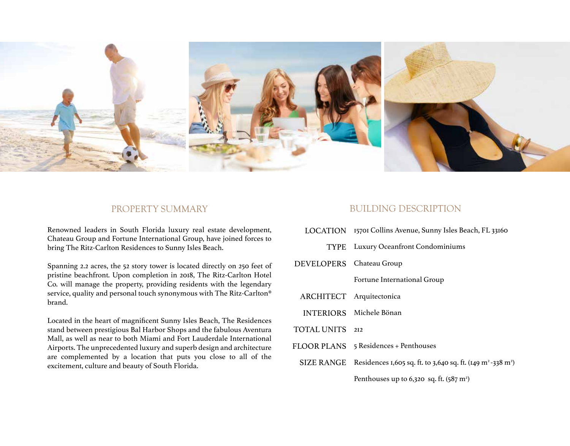

Renowned leaders in South Florida luxury real estate development, Chateau Group and Fortune International Group, have joined forces to bring The Ritz-Carlton Residences to Sunny Isles Beach.

Spanning 2.2 acres, the 52 story tower is located directly on 250 feet of pristine beachfront. Upon completion in 2018, The Ritz-Carlton Hotel Co. will manage the property, providing residents with the legendary service, quality and personal touch synonymous with The Ritz-Carlton® brand.

Located in the heart of magnificent Sunny Isles Beach, The Residences stand between prestigious Bal Harbor Shops and the fabulous Aventura Mall, as well as near to both Miami and Fort Lauderdale International Airports. The unprecedented luxury and superb design and architecture are complemented by a location that puts you close to all of the excitement, culture and beauty of South Florida.

## PROPERTY SUMMARY BUILDING DESCRIPTION

- LOCATION 15701 Collins Avenue, Sunny Isles Beach, FL 33160
	- Luxury Oceanfront Condominiums TYPE
- Chateau Group DEVELOPERS

Fortune International Group

- ARCHITECT Arquitectonica
- INTERIORS Michele Bönan
- 212 TOTAL UNITS
- 5 Residences + Penthouses FLOOR PLANS
	- SIZE RANGE Residences 1,605 sq. ft. to 3,640 sq. ft. (149 m<sup>2</sup> -338 m<sup>2</sup>)

Penthouses up to  $6,320$  sq. ft.  $(587 \text{ m}^2)$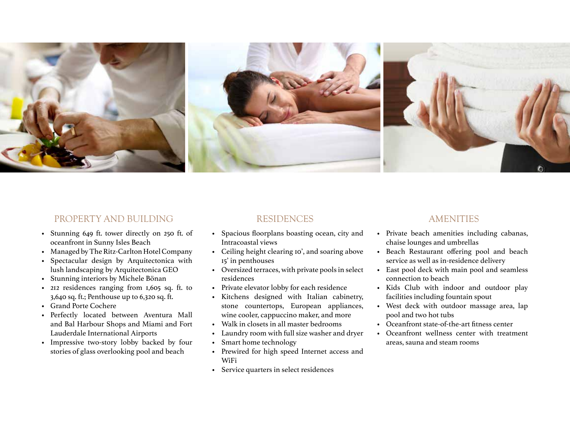

## PROPERTY AND BUILDING

- Stunning 649 ft. tower directly on 250 ft. of oceanfront in Sunny Isles Beach
- Managed by The Ritz-Carlton Hotel Company •
- Spectacular design by Arquitectonica with lush landscaping by Arquitectonica GEO •
- Stunning interiors by Michele Bönan •
- 212 residences ranging from 1,605 sq. ft. to 3,640 sq. ft.; Penthouse up to 6,320 sq. ft. •
- Grand Porte Cochere
- Perfectly located between Aventura Mall and Bal Harbour Shops and Miami and Fort Lauderdale International Airports
- Impressive two-story lobby backed by four stories of glass overlooking pool and beach

## RESIDENCES

- Spacious floorplans boasting ocean, city and Intracoastal views
- Ceiling height clearing 10', and soaring above 15' in penthouses
- Oversized terraces, with private pools in select residences
- Private elevator lobby for each residence
- Kitchens designed with Italian cabinetry, stone countertops, European appliances, wine cooler, cappuccino maker, and more
- Walk in closets in all master bedrooms •
- Laundry room with full size washer and dryer •
- Smart home technology
- Prewired for high speed Internet access and WiFi •
- Service quarters in select residences

## AMENITIES

- Private beach amenities including cabanas, chaise lounges and umbrellas
- Beach Restaurant offering pool and beach service as well as in-residence delivery
- East pool deck with main pool and seamless connection to beach
- Kids Club with indoor and outdoor play facilities including fountain spout
- West deck with outdoor massage area, lap pool and two hot tubs
- Oceanfront state-of-the-art fitness center
- Oceanfront wellness center with treatment •areas, sauna and steam rooms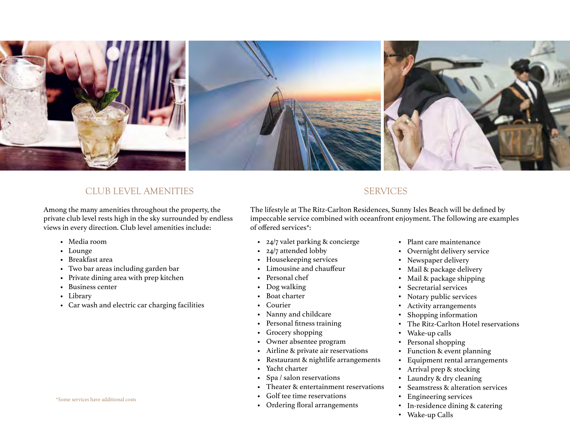

## CLUB LEVEL AMENITIES SERVICES

Among the many amenities throughout the property, the private club level rests high in the sky surrounded by endless views in every direction. Club level amenities include:

- Media room
- Lounge
- Breakfast area
- Two bar areas including garden bar •
- Private dining area with prep kitchen
- Business center
- Library
- Car wash and electric car charging facilities •

### \*Some services have additional costs

The lifestyle at The Ritz-Carlton Residences, Sunny Isles Beach will be defined by impeccable service combined with oceanfront enjoyment. The following are examples of offered services\*:

- 24/7 valet parking & concierge •
- 24/7 attended lobby
- Housekeeping services
- Limousine and chauffeur •
- Personal chef
- Dog walking •
- Boat charter •
- Courier •
- Nanny and childcare •
- Personal fitness training
- Grocery shopping •
- Owner absentee program •
- Airline & private air reservations •
- Restaurant & nightlife arrangements •
- Yacht charter •
- Spa / salon reservations •
- Theater & entertainment reservations •
- Golf tee time reservations •
- Ordering floral arrangements •
- Plant care maintenance
- Overnight delivery service •
- Newspaper delivery •
- Mail & package delivery •
- Mail & package shipping •
- Secretarial services
- Notary public services •
- Activity arrangements •
- Shopping information •
- The Ritz-Carlton Hotel reservations
- Wake-up calls •
- Personal shopping •
- Function & event planning •
- Equipment rental arrangements •
- Arrival prep & stocking •
- Laundry & dry cleaning •
- Seamstress & alteration services •
- Engineering services •
- In-residence dining & catering
- Wake-up Calls •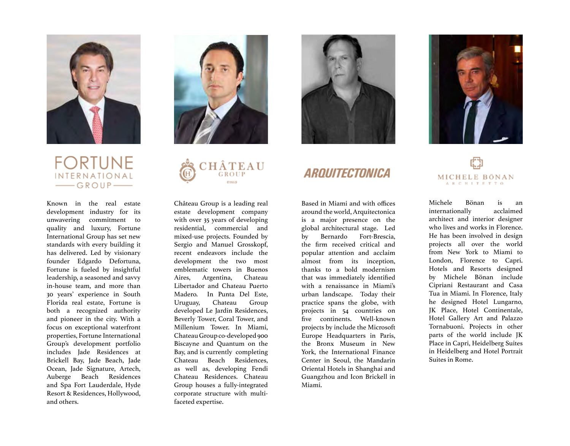

## **FORTUNE** INTERNATIONAL GROUP-

Known in the real estate development industry for its unwavering commitment to quality and luxury, Fortune International Group has set new standards with every building it has delivered. Led by visionary founder Edgardo Defortuna, Fortune is fueled by insightful leadership, a seasoned and savvy in-house team, and more than 30 years' experience in South Florida real estate, Fortune is both a recognized authority and pioneer in the city. With a focus on exceptional waterfront properties, Fortune International Group's development portfolio includes Jade Residences at Brickell Bay, Jade Beach, Jade Ocean, Jade Signature, Artech, Auberge Beach Residences and Spa Fort Lauderdale, Hyde Resort & Residences, Hollywood, and others.





Château Group is a leading real estate development company with over 35 years of developing residential, commercial and mixed-use projects. Founded by Sergio and Manuel Grosskopf, recent endeavors include the development the two most emblematic towers in Buenos Aires, Argentina, Chateau Libertador and Chateau Puerto Madero. In Punta Del Este, Uruguay, Chateau Group developed Le Jardin Residences, Beverly Tower, Coral Tower, and Millenium Tower. In Miami, Chateau Group co-developed 900 Biscayne and Quantum on the Bay, and is currently completing Chateau Beach Residences, as well as, developing Fendi Chateau Residences. Chateau Group houses a fully-integrated corporate structure with multifaceted expertise.



# ARQUITECTONICA

Based in Miami and with offices around the world, Arquitectonica is a major presence on the global architectural stage. Led by Bernardo Fort-Brescia, the firm received critical and popular attention and acclaim almost from its inception, thanks to a bold modernism that was immediately identified with a renaissance in Miami's urban landscape. Today their practice spans the globe, with projects in 54 countries on five continents. Well-known projects by include the Microsoft Europe Headquarters in Paris, the Bronx Museum in New York, the International Finance Center in Seoul, the Mandarin Oriental Hotels in Shanghai and Guangzhou and Icon Brickell in Miami.



# MICHELE BÖNAN ARCHITETTO

Michele Bönan is an internationally acclaimed architect and interior designer who lives and works in Florence. He has been involved in design projects all over the world from New York to Miami to London, Florence to Capri. Hotels and Resorts designed by Michele Bönan include Cipriani Restaurant and Casa Tua in Miami. In Florence, Italy he designed Hotel Lungarno, JK Place, Hotel Continentale, Hotel Gallery Art and Palazzo Tornabuoni. Projects in other parts of the world include JK Place in Capri, Heidelberg Suites in Heidelberg and Hotel Portrait Suites in Rome.